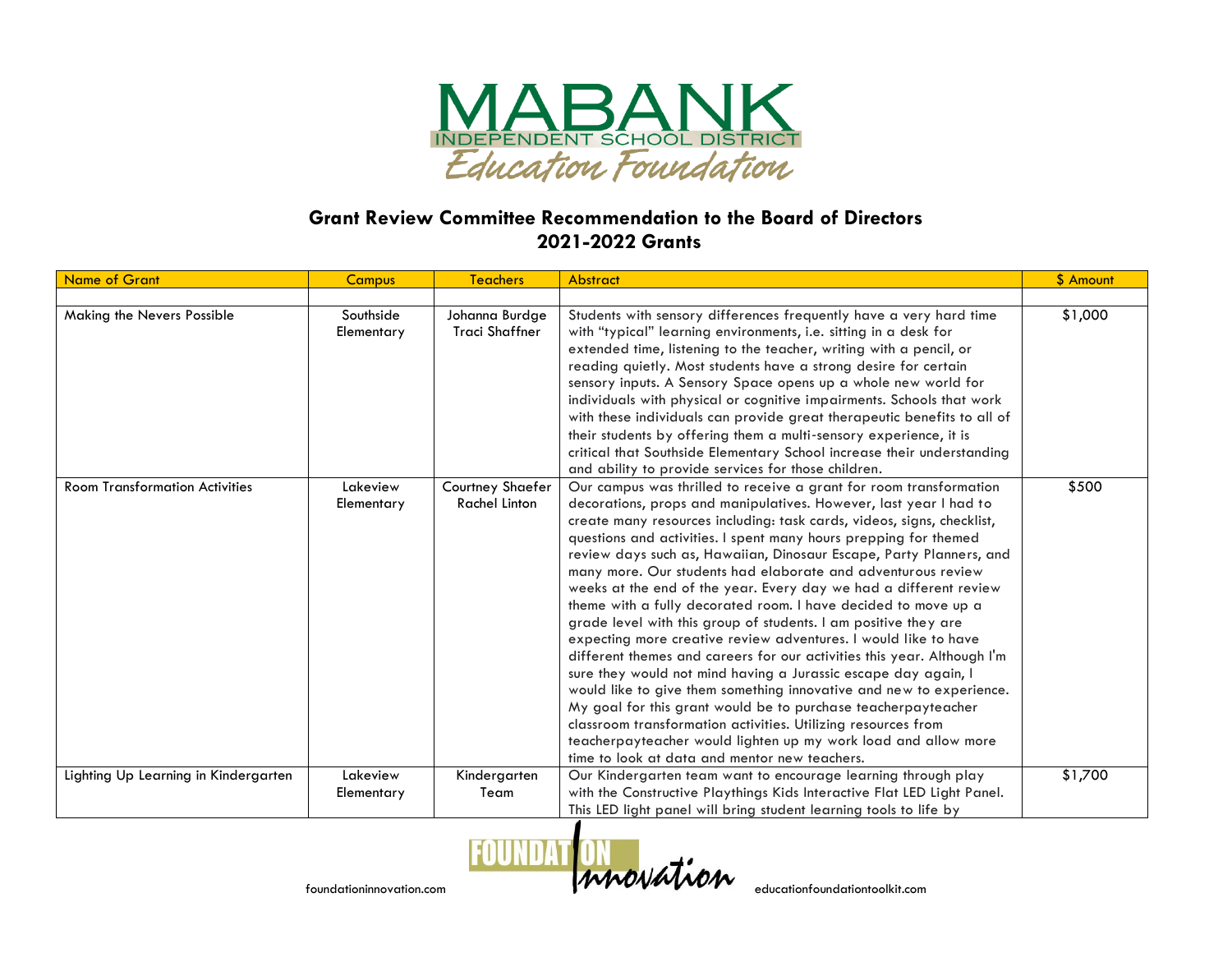

## **Grant Review Committee Recommendation to the Board of Directors 2021-2022 Grants**

| <b>Name of Grant</b>                  | <b>Campus</b>           | <b>Teachers</b>                          | <b>Abstract</b>                                                                                                                                                                                                                                                                                                                                                                                                                                                                                                                                                                                                                                                                                                                                                                                                                                                                                                                                                                                                                                                                                                                                                                    | \$ Amount |
|---------------------------------------|-------------------------|------------------------------------------|------------------------------------------------------------------------------------------------------------------------------------------------------------------------------------------------------------------------------------------------------------------------------------------------------------------------------------------------------------------------------------------------------------------------------------------------------------------------------------------------------------------------------------------------------------------------------------------------------------------------------------------------------------------------------------------------------------------------------------------------------------------------------------------------------------------------------------------------------------------------------------------------------------------------------------------------------------------------------------------------------------------------------------------------------------------------------------------------------------------------------------------------------------------------------------|-----------|
|                                       |                         |                                          |                                                                                                                                                                                                                                                                                                                                                                                                                                                                                                                                                                                                                                                                                                                                                                                                                                                                                                                                                                                                                                                                                                                                                                                    |           |
| Making the Nevers Possible            | Southside<br>Elementary | Johanna Burdge<br><b>Traci Shaffner</b>  | Students with sensory differences frequently have a very hard time<br>with "typical" learning environments, i.e. sitting in a desk for<br>extended time, listening to the teacher, writing with a pencil, or<br>reading quietly. Most students have a strong desire for certain<br>sensory inputs. A Sensory Space opens up a whole new world for<br>individuals with physical or cognitive impairments. Schools that work<br>with these individuals can provide great therapeutic benefits to all of<br>their students by offering them a multi-sensory experience, it is<br>critical that Southside Elementary School increase their understanding<br>and ability to provide services for those children.                                                                                                                                                                                                                                                                                                                                                                                                                                                                        | \$1,000   |
| <b>Room Transformation Activities</b> | Lakeview<br>Elementary  | Courtney Shaefer<br><b>Rachel Linton</b> | Our campus was thrilled to receive a grant for room transformation<br>decorations, props and manipulatives. However, last year I had to<br>create many resources including: task cards, videos, signs, checklist,<br>questions and activities. I spent many hours prepping for themed<br>review days such as, Hawaiian, Dinosaur Escape, Party Planners, and<br>many more. Our students had elaborate and adventurous review<br>weeks at the end of the year. Every day we had a different review<br>theme with a fully decorated room. I have decided to move up a<br>grade level with this group of students. I am positive they are<br>expecting more creative review adventures. I would like to have<br>different themes and careers for our activities this year. Although I'm<br>sure they would not mind having a Jurassic escape day again, I<br>would like to give them something innovative and new to experience.<br>My goal for this grant would be to purchase teacherpayteacher<br>classroom transformation activities. Utilizing resources from<br>teacherpayteacher would lighten up my work load and allow more<br>time to look at data and mentor new teachers. | \$500     |
| Lighting Up Learning in Kindergarten  | Lakeview                | Kindergarten                             | Our Kindergarten team want to encourage learning through play                                                                                                                                                                                                                                                                                                                                                                                                                                                                                                                                                                                                                                                                                                                                                                                                                                                                                                                                                                                                                                                                                                                      | \$1,700   |
|                                       | Elementary              | Team                                     | with the Constructive Playthings Kids Interactive Flat LED Light Panel.<br>This LED light panel will bring student learning tools to life by                                                                                                                                                                                                                                                                                                                                                                                                                                                                                                                                                                                                                                                                                                                                                                                                                                                                                                                                                                                                                                       |           |

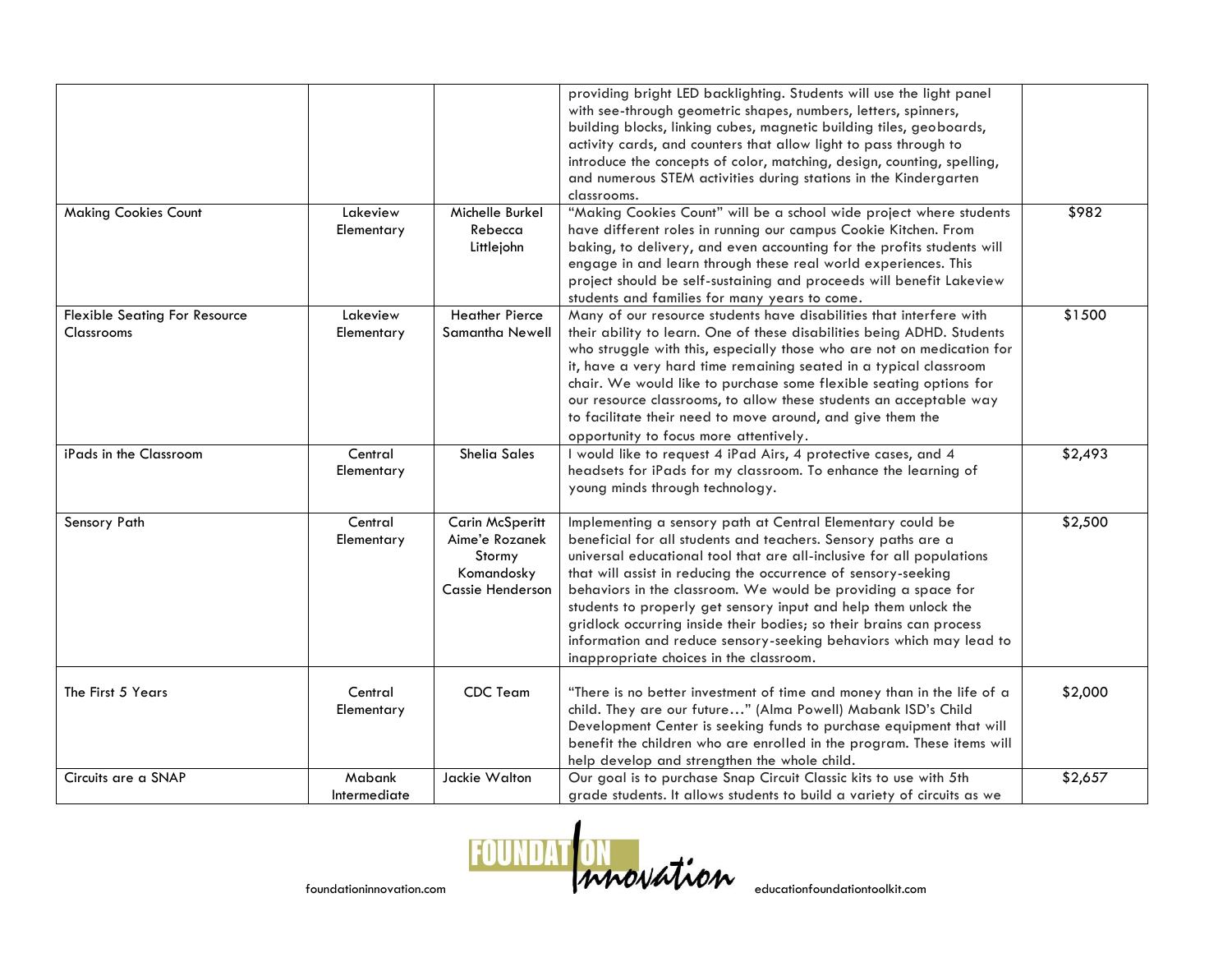|                                                    |                        |                                                                                             | providing bright LED backlighting. Students will use the light panel<br>with see-through geometric shapes, numbers, letters, spinners,<br>building blocks, linking cubes, magnetic building tiles, geoboards,<br>activity cards, and counters that allow light to pass through to<br>introduce the concepts of color, matching, design, counting, spelling,<br>and numerous STEM activities during stations in the Kindergarten<br>classrooms.                                                                                                                                                     |         |
|----------------------------------------------------|------------------------|---------------------------------------------------------------------------------------------|----------------------------------------------------------------------------------------------------------------------------------------------------------------------------------------------------------------------------------------------------------------------------------------------------------------------------------------------------------------------------------------------------------------------------------------------------------------------------------------------------------------------------------------------------------------------------------------------------|---------|
| <b>Making Cookies Count</b>                        | Lakeview<br>Elementary | Michelle Burkel<br>Rebecca<br>Littlejohn                                                    | "Making Cookies Count" will be a school wide project where students<br>have different roles in running our campus Cookie Kitchen. From<br>baking, to delivery, and even accounting for the profits students will<br>engage in and learn through these real world experiences. This<br>project should be self-sustaining and proceeds will benefit Lakeview<br>students and families for many years to come.                                                                                                                                                                                        | \$982   |
| <b>Flexible Seating For Resource</b><br>Classrooms | Lakeview<br>Elementary | <b>Heather Pierce</b><br>Samantha Newell                                                    | Many of our resource students have disabilities that interfere with<br>their ability to learn. One of these disabilities being ADHD. Students<br>who struggle with this, especially those who are not on medication for<br>it, have a very hard time remaining seated in a typical classroom<br>chair. We would like to purchase some flexible seating options for<br>our resource classrooms, to allow these students an acceptable way<br>to facilitate their need to move around, and give them the<br>opportunity to focus more attentively.                                                   | \$1500  |
| iPads in the Classroom                             | Central<br>Elementary  | Shelia Sales                                                                                | I would like to request 4 iPad Airs, 4 protective cases, and 4<br>headsets for iPads for my classroom. To enhance the learning of<br>young minds through technology.                                                                                                                                                                                                                                                                                                                                                                                                                               | \$2,493 |
| Sensory Path                                       | Central<br>Elementary  | <b>Carin McSperitt</b><br>Aime'e Rozanek<br>Stormy<br>Komandosky<br><b>Cassie Henderson</b> | Implementing a sensory path at Central Elementary could be<br>beneficial for all students and teachers. Sensory paths are a<br>universal educational tool that are all-inclusive for all populations<br>that will assist in reducing the occurrence of sensory-seeking<br>behaviors in the classroom. We would be providing a space for<br>students to properly get sensory input and help them unlock the<br>gridlock occurring inside their bodies; so their brains can process<br>information and reduce sensory-seeking behaviors which may lead to<br>inappropriate choices in the classroom. | \$2,500 |
| The First 5 Years                                  | Central<br>Elementary  | <b>CDC</b> Team                                                                             | "There is no better investment of time and money than in the life of a<br>child. They are our future" (Alma Powell) Mabank ISD's Child<br>Development Center is seeking funds to purchase equipment that will<br>benefit the children who are enrolled in the program. These items will<br>help develop and strengthen the whole child.                                                                                                                                                                                                                                                            | \$2,000 |
| Circuits are a SNAP                                | Mabank<br>Intermediate | Jackie Walton                                                                               | Our goal is to purchase Snap Circuit Classic kits to use with 5th<br>grade students. It allows students to build a variety of circuits as we                                                                                                                                                                                                                                                                                                                                                                                                                                                       | \$2,657 |

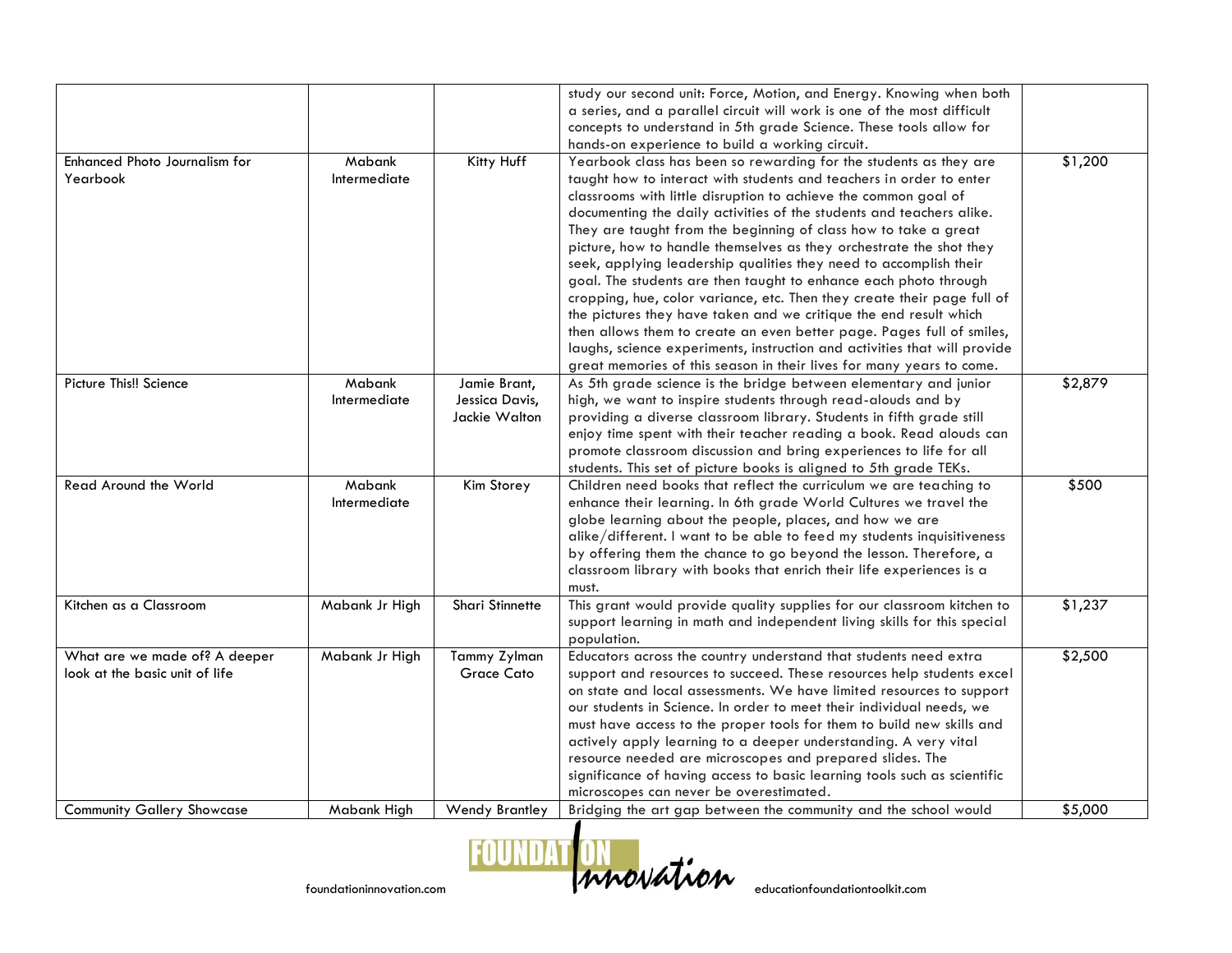|                                                                 |                        |                                                 | study our second unit: Force, Motion, and Energy. Knowing when both<br>a series, and a parallel circuit will work is one of the most difficult<br>concepts to understand in 5th grade Science. These tools allow for<br>hands-on experience to build a working circuit.                                                                                                                                                                                                                                                                                                                                                                                                                                                                                                                                                                                                                                                                              |         |
|-----------------------------------------------------------------|------------------------|-------------------------------------------------|------------------------------------------------------------------------------------------------------------------------------------------------------------------------------------------------------------------------------------------------------------------------------------------------------------------------------------------------------------------------------------------------------------------------------------------------------------------------------------------------------------------------------------------------------------------------------------------------------------------------------------------------------------------------------------------------------------------------------------------------------------------------------------------------------------------------------------------------------------------------------------------------------------------------------------------------------|---------|
| Enhanced Photo Journalism for<br>Yearbook                       | Mabank<br>Intermediate | Kitty Huff                                      | Yearbook class has been so rewarding for the students as they are<br>taught how to interact with students and teachers in order to enter<br>classrooms with little disruption to achieve the common goal of<br>documenting the daily activities of the students and teachers alike.<br>They are taught from the beginning of class how to take a great<br>picture, how to handle themselves as they orchestrate the shot they<br>seek, applying leadership qualities they need to accomplish their<br>goal. The students are then taught to enhance each photo through<br>cropping, hue, color variance, etc. Then they create their page full of<br>the pictures they have taken and we critique the end result which<br>then allows them to create an even better page. Pages full of smiles,<br>laughs, science experiments, instruction and activities that will provide<br>great memories of this season in their lives for many years to come. | \$1,200 |
| Picture This!! Science                                          | Mabank<br>Intermediate | Jamie Brant,<br>Jessica Davis,<br>Jackie Walton | As 5th grade science is the bridge between elementary and junior<br>high, we want to inspire students through read-alouds and by<br>providing a diverse classroom library. Students in fifth grade still<br>enjoy time spent with their teacher reading a book. Read alouds can<br>promote classroom discussion and bring experiences to life for all<br>students. This set of picture books is aligned to 5th grade TEKs.                                                                                                                                                                                                                                                                                                                                                                                                                                                                                                                           | \$2,879 |
| Read Around the World                                           | Mabank<br>Intermediate | Kim Storey                                      | Children need books that reflect the curriculum we are teaching to<br>enhance their learning. In 6th grade World Cultures we travel the<br>globe learning about the people, places, and how we are<br>alike/different. I want to be able to feed my students inquisitiveness<br>by offering them the chance to go beyond the lesson. Therefore, a<br>classroom library with books that enrich their life experiences is a<br>must.                                                                                                                                                                                                                                                                                                                                                                                                                                                                                                                   | \$500   |
| Kitchen as a Classroom                                          | Mabank Jr High         | Shari Stinnette                                 | This grant would provide quality supplies for our classroom kitchen to<br>support learning in math and independent living skills for this special<br>population.                                                                                                                                                                                                                                                                                                                                                                                                                                                                                                                                                                                                                                                                                                                                                                                     | \$1,237 |
| What are we made of? A deeper<br>look at the basic unit of life | Mabank Jr High         | Tammy Zylman<br>Grace Cato                      | Educators across the country understand that students need extra<br>support and resources to succeed. These resources help students excel<br>on state and local assessments. We have limited resources to support<br>our students in Science. In order to meet their individual needs, we<br>must have access to the proper tools for them to build new skills and<br>actively apply learning to a deeper understanding. A very vital<br>resource needed are microscopes and prepared slides. The<br>significance of having access to basic learning tools such as scientific<br>microscopes can never be overestimated.                                                                                                                                                                                                                                                                                                                             | \$2,500 |
| <b>Community Gallery Showcase</b>                               | Mabank Hiah            | Wendy Brantley                                  | Bridging the art gap between the community and the school would                                                                                                                                                                                                                                                                                                                                                                                                                                                                                                                                                                                                                                                                                                                                                                                                                                                                                      | \$5,000 |